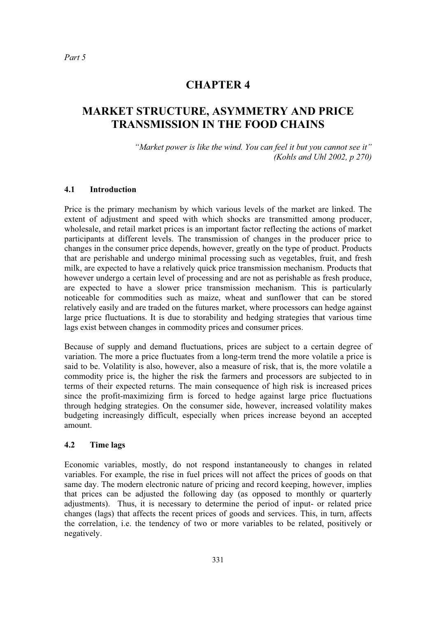## **CHAPTER 4**

# **MARKET STRUCTURE, ASYMMETRY AND PRICE TRANSMISSION IN THE FOOD CHAINS**

*"Market power is like the wind. You can feel it but you cannot see it" (Kohls and Uhl 2002, p 270)* 

## **4.1 Introduction**

Price is the primary mechanism by which various levels of the market are linked. The extent of adjustment and speed with which shocks are transmitted among producer, wholesale, and retail market prices is an important factor reflecting the actions of market participants at different levels. The transmission of changes in the producer price to changes in the consumer price depends, however, greatly on the type of product. Products that are perishable and undergo minimal processing such as vegetables, fruit, and fresh milk, are expected to have a relatively quick price transmission mechanism. Products that however undergo a certain level of processing and are not as perishable as fresh produce, are expected to have a slower price transmission mechanism. This is particularly noticeable for commodities such as maize, wheat and sunflower that can be stored relatively easily and are traded on the futures market, where processors can hedge against large price fluctuations. It is due to storability and hedging strategies that various time lags exist between changes in commodity prices and consumer prices.

Because of supply and demand fluctuations, prices are subject to a certain degree of variation. The more a price fluctuates from a long-term trend the more volatile a price is said to be. Volatility is also, however, also a measure of risk, that is, the more volatile a commodity price is, the higher the risk the farmers and processors are subjected to in terms of their expected returns. The main consequence of high risk is increased prices since the profit-maximizing firm is forced to hedge against large price fluctuations through hedging strategies. On the consumer side, however, increased volatility makes budgeting increasingly difficult, especially when prices increase beyond an accepted amount.

## **4.2 Time lags**

Economic variables, mostly, do not respond instantaneously to changes in related variables. For example, the rise in fuel prices will not affect the prices of goods on that same day. The modern electronic nature of pricing and record keeping, however, implies that prices can be adjusted the following day (as opposed to monthly or quarterly adjustments). Thus, it is necessary to determine the period of input- or related price changes (lags) that affects the recent prices of goods and services. This, in turn, affects the correlation, i.e. the tendency of two or more variables to be related, positively or negatively.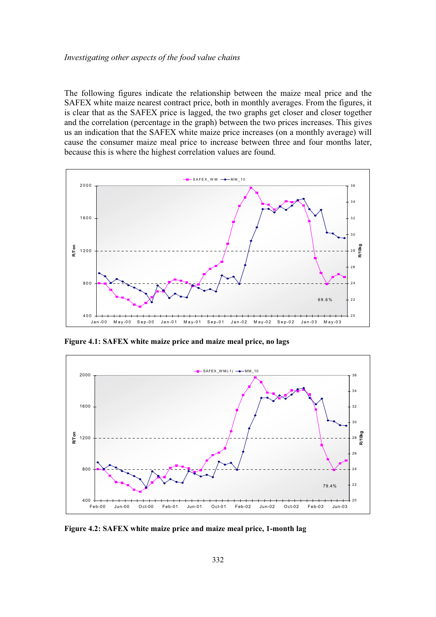#### *Investigating other aspects of the food value chains*

The following figures indicate the relationship between the maize meal price and the SAFEX white maize nearest contract price, both in monthly averages. From the figures, it is clear that as the SAFEX price is lagged, the two graphs get closer and closer together and the correlation (percentage in the graph) between the two prices increases. This gives us an indication that the SAFEX white maize price increases (on a monthly average) will cause the consumer maize meal price to increase between three and four months later, because this is where the highest correlation values are found.



**Figure 4.1: SAFEX white maize price and maize meal price, no lags**



**Figure 4.2: SAFEX white maize price and maize meal price, 1-month lag**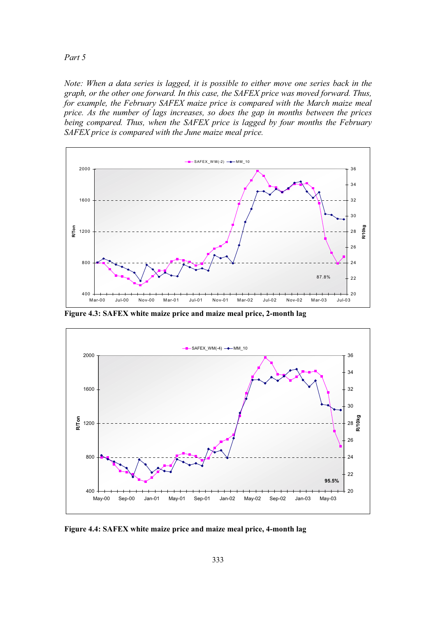*Note: When a data series is lagged, it is possible to either move one series back in the graph, or the other one forward. In this case, the SAFEX price was moved forward. Thus, for example, the February SAFEX maize price is compared with the March maize meal price. As the number of lags increases, so does the gap in months between the prices being compared. Thus, when the SAFEX price is lagged by four months the February SAFEX price is compared with the June maize meal price.* 



**Figure 4.3: SAFEX white maize price and maize meal price, 2-month lag**



**Figure 4.4: SAFEX white maize price and maize meal price, 4-month lag**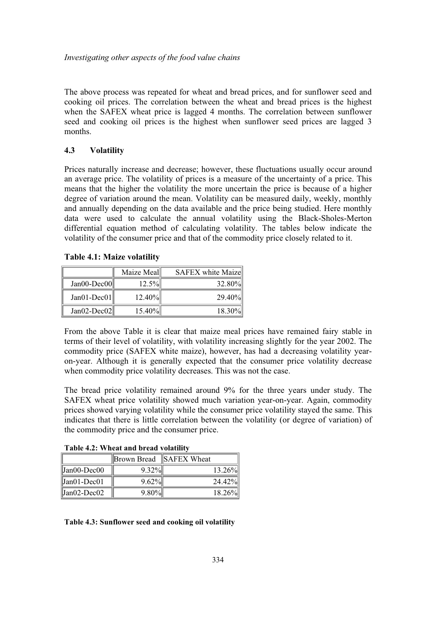The above process was repeated for wheat and bread prices, and for sunflower seed and cooking oil prices. The correlation between the wheat and bread prices is the highest when the SAFEX wheat price is lagged 4 months. The correlation between sunflower seed and cooking oil prices is the highest when sunflower seed prices are lagged 3 months.

### **4.3 Volatility**

Prices naturally increase and decrease; however, these fluctuations usually occur around an average price. The volatility of prices is a measure of the uncertainty of a price. This means that the higher the volatility the more uncertain the price is because of a higher degree of variation around the mean. Volatility can be measured daily, weekly, monthly and annually depending on the data available and the price being studied. Here monthly data were used to calculate the annual volatility using the Black-Sholes-Merton differential equation method of calculating volatility. The tables below indicate the volatility of the consumer price and that of the commodity price closely related to it.

**Table 4.1: Maize volatility** 

|                         | Maize Meal | SAFEX white Maize |
|-------------------------|------------|-------------------|
| $Jan00-Dec00$           | $12.5\%$   | 32.80%            |
| Jan01-Dec01 $\parallel$ | $12.40\%$  | $29.40\%$         |
| $Jan02-Dec02$           | $15.40\%$  | 18.30%            |

From the above Table it is clear that maize meal prices have remained fairy stable in terms of their level of volatility, with volatility increasing slightly for the year 2002. The commodity price (SAFEX white maize), however, has had a decreasing volatility yearon-year. Although it is generally expected that the consumer price volatility decrease when commodity price volatility decreases. This was not the case.

The bread price volatility remained around 9% for the three years under study. The SAFEX wheat price volatility showed much variation year-on-year. Again, commodity prices showed varying volatility while the consumer price volatility stayed the same. This indicates that there is little correlation between the volatility (or degree of variation) of the commodity price and the consumer price.

| Table 4.2: Wheat and bread volatility |  |  |  |  |
|---------------------------------------|--|--|--|--|
|---------------------------------------|--|--|--|--|

|             | Brown Bread SAFEX Wheat |           |
|-------------|-------------------------|-----------|
| Jan00-Dec00 | $9.32\%$                | 13.26%    |
| Jan01-Dec01 | $9.62\%$                | 24.42%    |
| Jan02-Dec02 | $9.80\%$                | $18.26\%$ |

#### **Table 4.3: Sunflower seed and cooking oil volatility**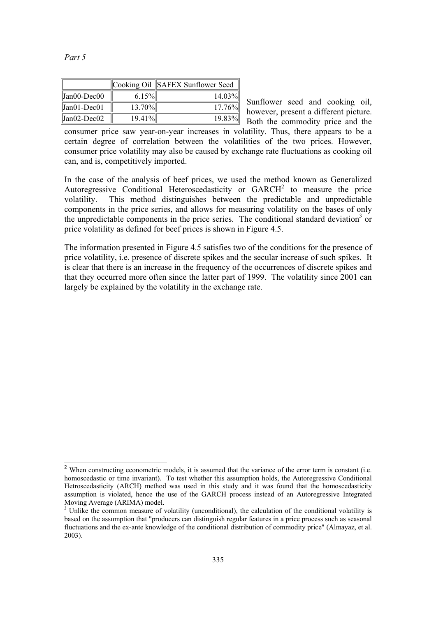$\overline{a}$ 

|                         |           | Cooking Oil SAFEX Sunflower Seed |
|-------------------------|-----------|----------------------------------|
| $\parallel$ Jan00-Dec00 | $6.15\%$  | $14.03\%$                        |
| $\text{Jan01-Dec01}$    | $13.70\%$ | 17.76%                           |
| $\text{Jan02-Dec02}$    | $19.41\%$ | $19.83\%$                        |

Sunflower seed and cooking oil, however, present a different picture. Both the commodity price and the

consumer price saw year-on-year increases in volatility. Thus, there appears to be a certain degree of correlation between the volatilities of the two prices. However, consumer price volatility may also be caused by exchange rate fluctuations as cooking oil can, and is, competitively imported.

In the case of the analysis of beef prices, we used the method known as Generalized Autoregressive Conditional Heteroscedasticity or  $GARCH<sup>2</sup>$  to measure the price volatility. This method distinguishes between the predictable and unpredictable components in the price series, and allows for measuring volatility on the bases of only the unpredictable components in the price series. The conditional standard deviation<sup>3</sup> or price volatility as defined for beef prices is shown in Figure 4.5.

The information presented in Figure 4.5 satisfies two of the conditions for the presence of price volatility, i.e. presence of discrete spikes and the secular increase of such spikes. It is clear that there is an increase in the frequency of the occurrences of discrete spikes and that they occurred more often since the latter part of 1999. The volatility since 2001 can largely be explained by the volatility in the exchange rate.

 $2$  When constructing econometric models, it is assumed that the variance of the error term is constant (i.e. homoscedastic or time invariant). To test whether this assumption holds, the Autoregressive Conditional Hetroscedasticity (ARCH) method was used in this study and it was found that the homoscedasticity assumption is violated, hence the use of the GARCH process instead of an Autoregressive Integrated Moving Average (ARIMA) model.

<sup>&</sup>lt;sup>3</sup> Unlike the common measure of volatility (unconditional), the calculation of the conditional volatility is based on the assumption that "producers can distinguish regular features in a price process such as seasonal fluctuations and the ex-ante knowledge of the conditional distribution of commodity price" (Almayaz, et al. 2003).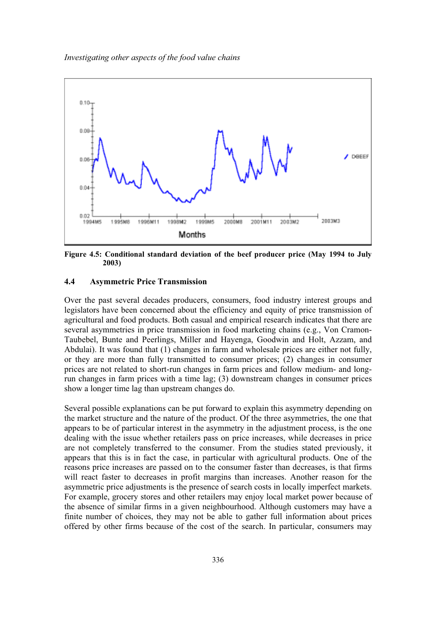*Investigating other aspects of the food value chains* 



**Figure 4.5: Conditional standard deviation of the beef producer price (May 1994 to July 2003)** 

#### **4.4 Asymmetric Price Transmission**

Over the past several decades producers, consumers, food industry interest groups and legislators have been concerned about the efficiency and equity of price transmission of agricultural and food products. Both casual and empirical research indicates that there are several asymmetries in price transmission in food marketing chains (e.g., Von Cramon-Taubebel, Bunte and Peerlings, Miller and Hayenga, Goodwin and Holt, Azzam, and Abdulai). It was found that (1) changes in farm and wholesale prices are either not fully, or they are more than fully transmitted to consumer prices; (2) changes in consumer prices are not related to short-run changes in farm prices and follow medium- and longrun changes in farm prices with a time lag; (3) downstream changes in consumer prices show a longer time lag than upstream changes do.

Several possible explanations can be put forward to explain this asymmetry depending on the market structure and the nature of the product. Of the three asymmetries, the one that appears to be of particular interest in the asymmetry in the adjustment process, is the one dealing with the issue whether retailers pass on price increases, while decreases in price are not completely transferred to the consumer. From the studies stated previously, it appears that this is in fact the case, in particular with agricultural products. One of the reasons price increases are passed on to the consumer faster than decreases, is that firms will react faster to decreases in profit margins than increases. Another reason for the asymmetric price adjustments is the presence of search costs in locally imperfect markets. For example, grocery stores and other retailers may enjoy local market power because of the absence of similar firms in a given neighbourhood. Although customers may have a finite number of choices, they may not be able to gather full information about prices offered by other firms because of the cost of the search. In particular, consumers may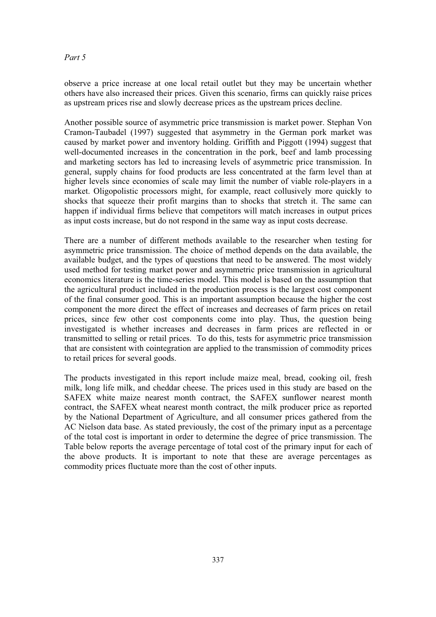observe a price increase at one local retail outlet but they may be uncertain whether others have also increased their prices. Given this scenario, firms can quickly raise prices as upstream prices rise and slowly decrease prices as the upstream prices decline.

Another possible source of asymmetric price transmission is market power. Stephan Von Cramon-Taubadel (1997) suggested that asymmetry in the German pork market was caused by market power and inventory holding. Griffith and Piggott (1994) suggest that well-documented increases in the concentration in the pork, beef and lamb processing and marketing sectors has led to increasing levels of asymmetric price transmission. In general, supply chains for food products are less concentrated at the farm level than at higher levels since economies of scale may limit the number of viable role-players in a market. Oligopolistic processors might, for example, react collusively more quickly to shocks that squeeze their profit margins than to shocks that stretch it. The same can happen if individual firms believe that competitors will match increases in output prices as input costs increase, but do not respond in the same way as input costs decrease.

There are a number of different methods available to the researcher when testing for asymmetric price transmission. The choice of method depends on the data available, the available budget, and the types of questions that need to be answered. The most widely used method for testing market power and asymmetric price transmission in agricultural economics literature is the time-series model. This model is based on the assumption that the agricultural product included in the production process is the largest cost component of the final consumer good. This is an important assumption because the higher the cost component the more direct the effect of increases and decreases of farm prices on retail prices, since few other cost components come into play. Thus, the question being investigated is whether increases and decreases in farm prices are reflected in or transmitted to selling or retail prices. To do this, tests for asymmetric price transmission that are consistent with cointegration are applied to the transmission of commodity prices to retail prices for several goods.

The products investigated in this report include maize meal, bread, cooking oil, fresh milk, long life milk, and cheddar cheese. The prices used in this study are based on the SAFEX white maize nearest month contract, the SAFEX sunflower nearest month contract, the SAFEX wheat nearest month contract, the milk producer price as reported by the National Department of Agriculture, and all consumer prices gathered from the AC Nielson data base. As stated previously, the cost of the primary input as a percentage of the total cost is important in order to determine the degree of price transmission. The Table below reports the average percentage of total cost of the primary input for each of the above products. It is important to note that these are average percentages as commodity prices fluctuate more than the cost of other inputs.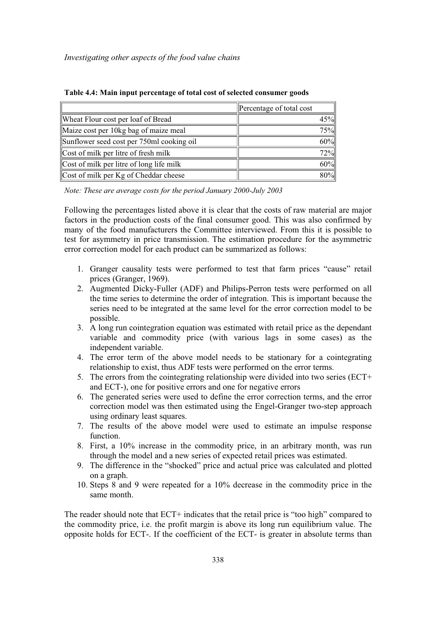|                                           | Percentage of total cost |
|-------------------------------------------|--------------------------|
| Wheat Flour cost per loaf of Bread        | 45%                      |
| Maize cost per 10kg bag of maize meal     | 75%                      |
| Sunflower seed cost per 750ml cooking oil | 60%                      |
| $\ $ Cost of milk per litre of fresh milk | 72%                      |
| Cost of milk per litre of long life milk  | 60%                      |
| Cost of milk per Kg of Cheddar cheese     |                          |

#### **Table 4.4: Main input percentage of total cost of selected consumer goods**

*Note: These are average costs for the period January 2000-July 2003* 

Following the percentages listed above it is clear that the costs of raw material are major factors in the production costs of the final consumer good. This was also confirmed by many of the food manufacturers the Committee interviewed. From this it is possible to test for asymmetry in price transmission. The estimation procedure for the asymmetric error correction model for each product can be summarized as follows:

- 1. Granger causality tests were performed to test that farm prices "cause" retail prices (Granger, 1969).
- 2. Augmented Dicky-Fuller (ADF) and Philips-Perron tests were performed on all the time series to determine the order of integration. This is important because the series need to be integrated at the same level for the error correction model to be possible.
- 3. A long run cointegration equation was estimated with retail price as the dependant variable and commodity price (with various lags in some cases) as the independent variable.
- 4. The error term of the above model needs to be stationary for a cointegrating relationship to exist, thus ADF tests were performed on the error terms.
- 5. The errors from the cointegrating relationship were divided into two series (ECT+ and ECT-), one for positive errors and one for negative errors
- 6. The generated series were used to define the error correction terms, and the error correction model was then estimated using the Engel-Granger two-step approach using ordinary least squares.
- 7. The results of the above model were used to estimate an impulse response function.
- 8. First, a 10% increase in the commodity price, in an arbitrary month, was run through the model and a new series of expected retail prices was estimated.
- 9. The difference in the "shocked" price and actual price was calculated and plotted on a graph.
- 10. Steps 8 and 9 were repeated for a 10% decrease in the commodity price in the same month.

The reader should note that ECT+ indicates that the retail price is "too high" compared to the commodity price, i.e. the profit margin is above its long run equilibrium value. The opposite holds for ECT-. If the coefficient of the ECT- is greater in absolute terms than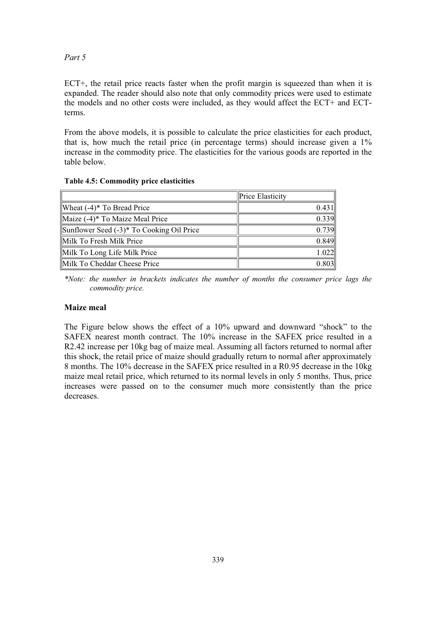ECT+, the retail price reacts faster when the profit margin is squeezed than when it is expanded. The reader should also note that only commodity prices were used to estimate the models and no other costs were included, as they would affect the ECT+ and ECTterms.

From the above models, it is possible to calculate the price elasticities for each product, that is, how much the retail price (in percentage terms) should increase given a 1% increase in the commodity price. The elasticities for the various goods are reported in the table below.

#### **Table 4.5: Commodity price elasticities**

|                                                       | Price Elasticity |
|-------------------------------------------------------|------------------|
| Wheat $(-4)^*$ To Bread Price                         | 0.431            |
| Maize (-4)* To Maize Meal Price                       | 0.339            |
| Sunflower Seed (-3) <sup>*</sup> To Cooking Oil Price | 0.739            |
| Milk To Fresh Milk Price                              | 0.849            |
| Milk To Long Life Milk Price                          | 1.022            |
| Milk To Cheddar Cheese Price                          | 0.803            |

*\*Note: the number in brackets indicates the number of months the consumer price lags the commodity price.*

#### **Maize meal**

The Figure below shows the effect of a 10% upward and downward "shock" to the SAFEX nearest month contract. The 10% increase in the SAFEX price resulted in a R2.42 increase per 10kg bag of maize meal. Assuming all factors returned to normal after this shock, the retail price of maize should gradually return to normal after approximately 8 months. The 10% decrease in the SAFEX price resulted in a R0.95 decrease in the 10kg maize meal retail price, which returned to its normal levels in only 5 months. Thus, price increases were passed on to the consumer much more consistently than the price decreases.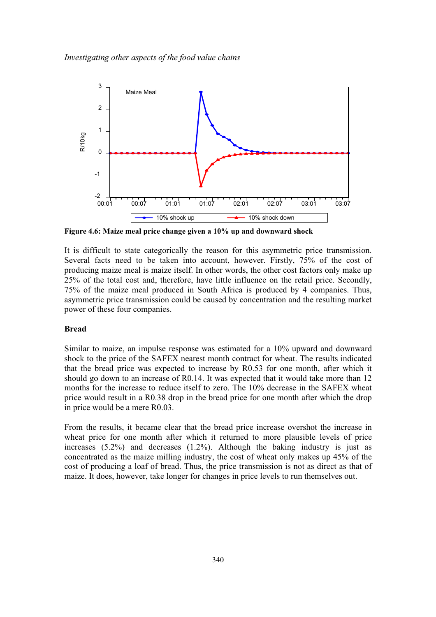

**Figure 4.6: Maize meal price change given a 10% up and downward shock**

It is difficult to state categorically the reason for this asymmetric price transmission. Several facts need to be taken into account, however. Firstly, 75% of the cost of producing maize meal is maize itself. In other words, the other cost factors only make up 25% of the total cost and, therefore, have little influence on the retail price. Secondly, 75% of the maize meal produced in South Africa is produced by 4 companies. Thus, asymmetric price transmission could be caused by concentration and the resulting market power of these four companies.

#### **Bread**

Similar to maize, an impulse response was estimated for a 10% upward and downward shock to the price of the SAFEX nearest month contract for wheat. The results indicated that the bread price was expected to increase by R0.53 for one month, after which it should go down to an increase of R0.14. It was expected that it would take more than 12 months for the increase to reduce itself to zero. The 10% decrease in the SAFEX wheat price would result in a R0.38 drop in the bread price for one month after which the drop in price would be a mere R0.03.

From the results, it became clear that the bread price increase overshot the increase in wheat price for one month after which it returned to more plausible levels of price increases (5.2%) and decreases (1.2%). Although the baking industry is just as concentrated as the maize milling industry, the cost of wheat only makes up 45% of the cost of producing a loaf of bread. Thus, the price transmission is not as direct as that of maize. It does, however, take longer for changes in price levels to run themselves out.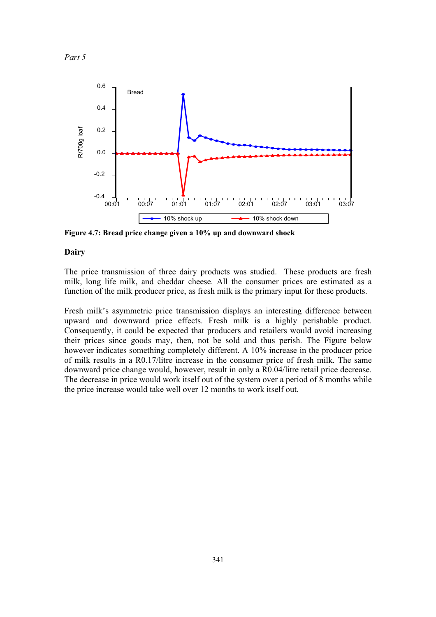



**Figure 4.7: Bread price change given a 10% up and downward shock** 

#### **Dairy**

The price transmission of three dairy products was studied. These products are fresh milk, long life milk, and cheddar cheese. All the consumer prices are estimated as a function of the milk producer price, as fresh milk is the primary input for these products.

Fresh milk's asymmetric price transmission displays an interesting difference between upward and downward price effects. Fresh milk is a highly perishable product. Consequently, it could be expected that producers and retailers would avoid increasing their prices since goods may, then, not be sold and thus perish. The Figure below however indicates something completely different. A 10% increase in the producer price of milk results in a R0.17/litre increase in the consumer price of fresh milk. The same downward price change would, however, result in only a R0.04/litre retail price decrease. The decrease in price would work itself out of the system over a period of 8 months while the price increase would take well over 12 months to work itself out.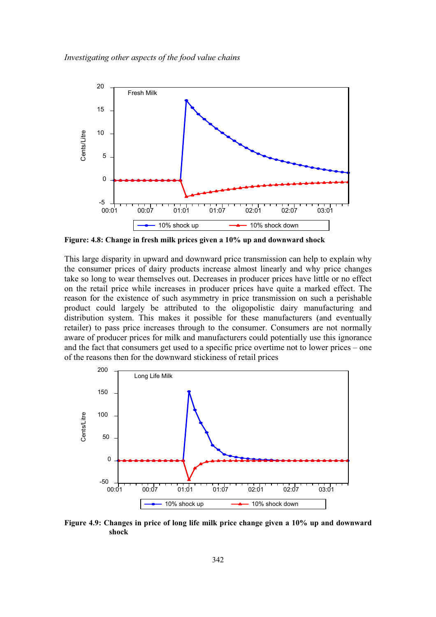

**Figure: 4.8: Change in fresh milk prices given a 10% up and downward shock** 

This large disparity in upward and downward price transmission can help to explain why the consumer prices of dairy products increase almost linearly and why price changes take so long to wear themselves out. Decreases in producer prices have little or no effect on the retail price while increases in producer prices have quite a marked effect. The reason for the existence of such asymmetry in price transmission on such a perishable product could largely be attributed to the oligopolistic dairy manufacturing and distribution system. This makes it possible for these manufacturers (and eventually retailer) to pass price increases through to the consumer. Consumers are not normally aware of producer prices for milk and manufacturers could potentially use this ignorance and the fact that consumers get used to a specific price overtime not to lower prices – one of the reasons then for the downward stickiness of retail prices



**Figure 4.9: Changes in price of long life milk price change given a 10% up and downward shock**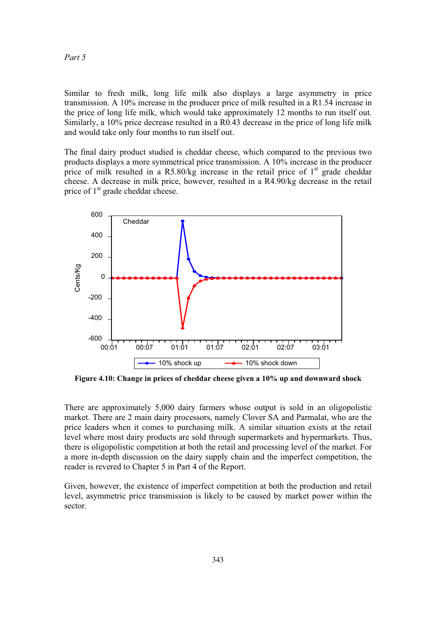Similar to fresh milk, long life milk also displays a large asymmetry in price transmission. A 10% increase in the producer price of milk resulted in a R1.54 increase in the price of long life milk, which would take approximately 12 months to run itself out. Similarly, a 10% price decrease resulted in a R0.43 decrease in the price of long life milk and would take only four months to run itself out.

The final dairy product studied is cheddar cheese, which compared to the previous two products displays a more symmetrical price transmission. A 10% increase in the producer price of milk resulted in a  $R5.80/kg$  increase in the retail price of  $1<sup>st</sup>$  grade cheddar cheese. A decrease in milk price, however, resulted in a R4.90/kg decrease in the retail price of 1<sup>st</sup> grade cheddar cheese.



**Figure 4.10: Change in prices of cheddar cheese given a 10% up and downward shock**

There are approximately 5,000 dairy farmers whose output is sold in an oligopolistic market. There are 2 main dairy processors, namely Clover SA and Parmalat, who are the price leaders when it comes to purchasing milk. A similar situation exists at the retail level where most dairy products are sold through supermarkets and hypermarkets. Thus, there is oligopolistic competition at both the retail and processing level of the market. For a more in-depth discussion on the dairy supply chain and the imperfect competition, the reader is revered to Chapter 5 in Part 4 of the Report.

Given, however, the existence of imperfect competition at both the production and retail level, asymmetric price transmission is likely to be caused by market power within the sector.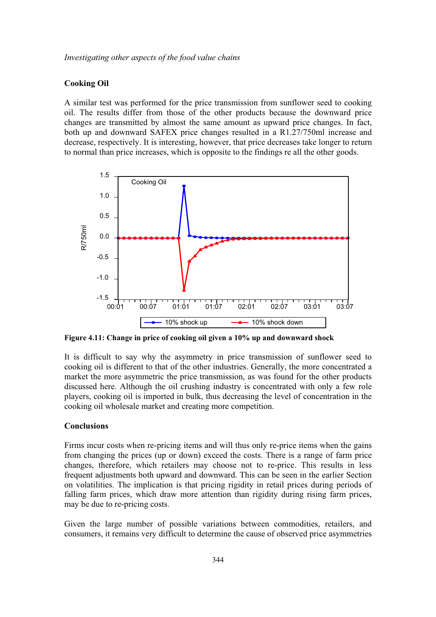#### **Cooking Oil**

A similar test was performed for the price transmission from sunflower seed to cooking oil. The results differ from those of the other products because the downward price changes are transmitted by almost the same amount as upward price changes. In fact, both up and downward SAFEX price changes resulted in a R1.27/750ml increase and decrease, respectively. It is interesting, however, that price decreases take longer to return to normal than price increases, which is opposite to the findings re all the other goods.



**Figure 4.11: Change in price of cooking oil given a 10% up and downward shock** 

It is difficult to say why the asymmetry in price transmission of sunflower seed to cooking oil is different to that of the other industries. Generally, the more concentrated a market the more asymmetric the price transmission, as was found for the other products discussed here. Although the oil crushing industry is concentrated with only a few role players, cooking oil is imported in bulk, thus decreasing the level of concentration in the cooking oil wholesale market and creating more competition.

#### **Conclusions**

Firms incur costs when re-pricing items and will thus only re-price items when the gains from changing the prices (up or down) exceed the costs. There is a range of farm price changes, therefore, which retailers may choose not to re-price. This results in less frequent adjustments both upward and downward. This can be seen in the earlier Section on volatilities. The implication is that pricing rigidity in retail prices during periods of falling farm prices, which draw more attention than rigidity during rising farm prices, may be due to re-pricing costs.

Given the large number of possible variations between commodities, retailers, and consumers, it remains very difficult to determine the cause of observed price asymmetries